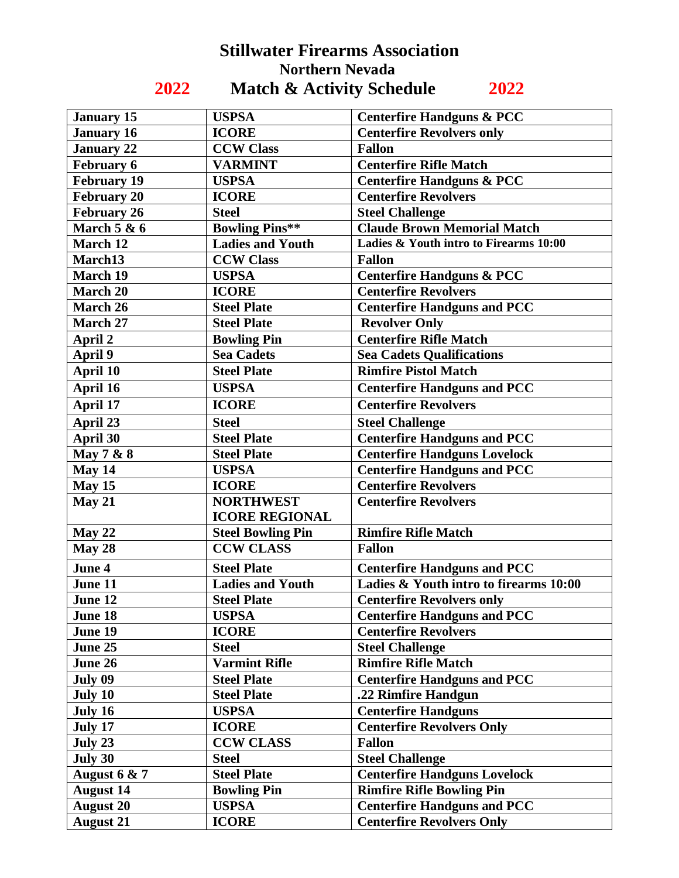## **Stillwater Firearms Association Northern Nevada 2022 Match & Activity Schedule 2022**

| <b>January 15</b>  | <b>USPSA</b>             | <b>Centerfire Handguns &amp; PCC</b>   |
|--------------------|--------------------------|----------------------------------------|
| <b>January 16</b>  | <b>ICORE</b>             | <b>Centerfire Revolvers only</b>       |
| <b>January 22</b>  | <b>CCW Class</b>         | <b>Fallon</b>                          |
| February 6         | <b>VARMINT</b>           | <b>Centerfire Rifle Match</b>          |
| <b>February 19</b> | <b>USPSA</b>             | <b>Centerfire Handguns &amp; PCC</b>   |
| <b>February 20</b> | <b>ICORE</b>             | <b>Centerfire Revolvers</b>            |
| <b>February 26</b> | <b>Steel</b>             | <b>Steel Challenge</b>                 |
| March $5 & 6$      | <b>Bowling Pins**</b>    | <b>Claude Brown Memorial Match</b>     |
| March 12           | <b>Ladies and Youth</b>  | Ladies & Youth intro to Firearms 10:00 |
| March13            | <b>CCW Class</b>         | <b>Fallon</b>                          |
| <b>March 19</b>    | <b>USPSA</b>             | <b>Centerfire Handguns &amp; PCC</b>   |
| <b>March 20</b>    | <b>ICORE</b>             | <b>Centerfire Revolvers</b>            |
| March 26           | <b>Steel Plate</b>       | <b>Centerfire Handguns and PCC</b>     |
| March 27           | <b>Steel Plate</b>       | <b>Revolver Only</b>                   |
| April 2            | <b>Bowling Pin</b>       | <b>Centerfire Rifle Match</b>          |
| April 9            | <b>Sea Cadets</b>        | <b>Sea Cadets Qualifications</b>       |
| <b>April 10</b>    | <b>Steel Plate</b>       | <b>Rimfire Pistol Match</b>            |
| April 16           | <b>USPSA</b>             | <b>Centerfire Handguns and PCC</b>     |
| April 17           | <b>ICORE</b>             | <b>Centerfire Revolvers</b>            |
| April 23           | <b>Steel</b>             | <b>Steel Challenge</b>                 |
| April 30           | <b>Steel Plate</b>       | <b>Centerfire Handguns and PCC</b>     |
| May 7 & 8          | <b>Steel Plate</b>       | <b>Centerfire Handguns Lovelock</b>    |
| May 14             | <b>USPSA</b>             | <b>Centerfire Handguns and PCC</b>     |
| May 15             | <b>ICORE</b>             | <b>Centerfire Revolvers</b>            |
| May 21             | <b>NORTHWEST</b>         | <b>Centerfire Revolvers</b>            |
|                    | <b>ICORE REGIONAL</b>    |                                        |
| May 22             | <b>Steel Bowling Pin</b> | <b>Rimfire Rifle Match</b>             |
| May 28             | <b>CCW CLASS</b>         | <b>Fallon</b>                          |
| June 4             | <b>Steel Plate</b>       | <b>Centerfire Handguns and PCC</b>     |
| June 11            | <b>Ladies and Youth</b>  | Ladies & Youth intro to firearms 10:00 |
| June 12            | <b>Steel Plate</b>       | <b>Centerfire Revolvers only</b>       |
| June 18            | <b>USPSA</b>             | <b>Centerfire Handguns and PCC</b>     |
| June 19            | <b>ICORE</b>             | <b>Centerfire Revolvers</b>            |
| June 25            | <b>Steel</b>             | <b>Steel Challenge</b>                 |
| June 26            | <b>Varmint Rifle</b>     | <b>Rimfire Rifle Match</b>             |
| July 09            | <b>Steel Plate</b>       | <b>Centerfire Handguns and PCC</b>     |
| July 10            | <b>Steel Plate</b>       | .22 Rimfire Handgun                    |
| July 16            | <b>USPSA</b>             | <b>Centerfire Handguns</b>             |
| July 17            | <b>ICORE</b>             | <b>Centerfire Revolvers Only</b>       |
| July 23            | <b>CCW CLASS</b>         | <b>Fallon</b>                          |
| July 30            | <b>Steel</b>             | <b>Steel Challenge</b>                 |
| August $6 & 7$     | <b>Steel Plate</b>       | <b>Centerfire Handguns Lovelock</b>    |
| <b>August 14</b>   | <b>Bowling Pin</b>       | <b>Rimfire Rifle Bowling Pin</b>       |
| <b>August 20</b>   | <b>USPSA</b>             | <b>Centerfire Handguns and PCC</b>     |
| <b>August 21</b>   | <b>ICORE</b>             | <b>Centerfire Revolvers Only</b>       |